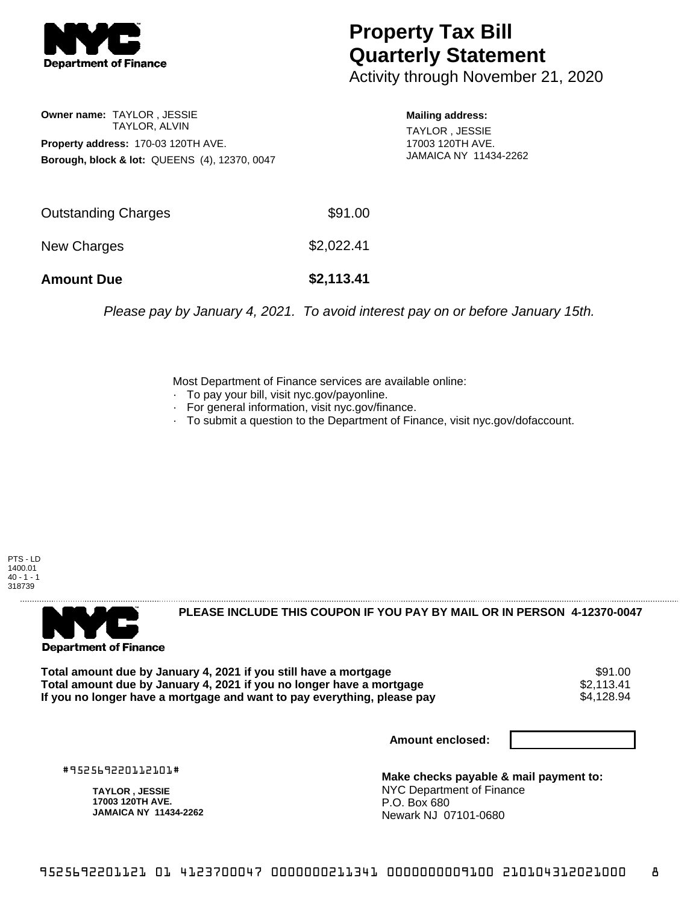

## **Property Tax Bill Quarterly Statement**

Activity through November 21, 2020

## **Owner name:** TAYLOR , JESSIE TAYLOR, ALVIN **Property address:** 170-03 120TH AVE. **Borough, block & lot:** QUEENS (4), 12370, 0047

**Mailing address:**

TAYLOR , JESSIE 17003 120TH AVE. JAMAICA NY 11434-2262

| <b>Amount Due</b>   | \$2,113.41 |
|---------------------|------------|
| New Charges         | \$2,022.41 |
| Outstanding Charges | \$91.00    |

Please pay by January 4, 2021. To avoid interest pay on or before January 15th.

Most Department of Finance services are available online:

- · To pay your bill, visit nyc.gov/payonline.
- For general information, visit nyc.gov/finance.
- · To submit a question to the Department of Finance, visit nyc.gov/dofaccount.

PTS - LD 1400.01  $40 - 1 - 1$ 318739



**PLEASE INCLUDE THIS COUPON IF YOU PAY BY MAIL OR IN PERSON 4-12370-0047** 

Total amount due by January 4, 2021 if you still have a mortgage **\$91.00** \$91.00<br>Total amount due by January 4, 2021 if you no longer have a mortgage **\$2.113.41 \$2.113.41 Total amount due by January 4, 2021 if you no longer have a mortgage**  $$2,113.41$ **<br>If you no longer have a mortgage and want to pay everything, please pay**  $$4,128.94$ If you no longer have a mortgage and want to pay everything, please pay

**Amount enclosed:**

#952569220112101#

**TAYLOR , JESSIE 17003 120TH AVE. JAMAICA NY 11434-2262**

**Make checks payable & mail payment to:** NYC Department of Finance P.O. Box 680 Newark NJ 07101-0680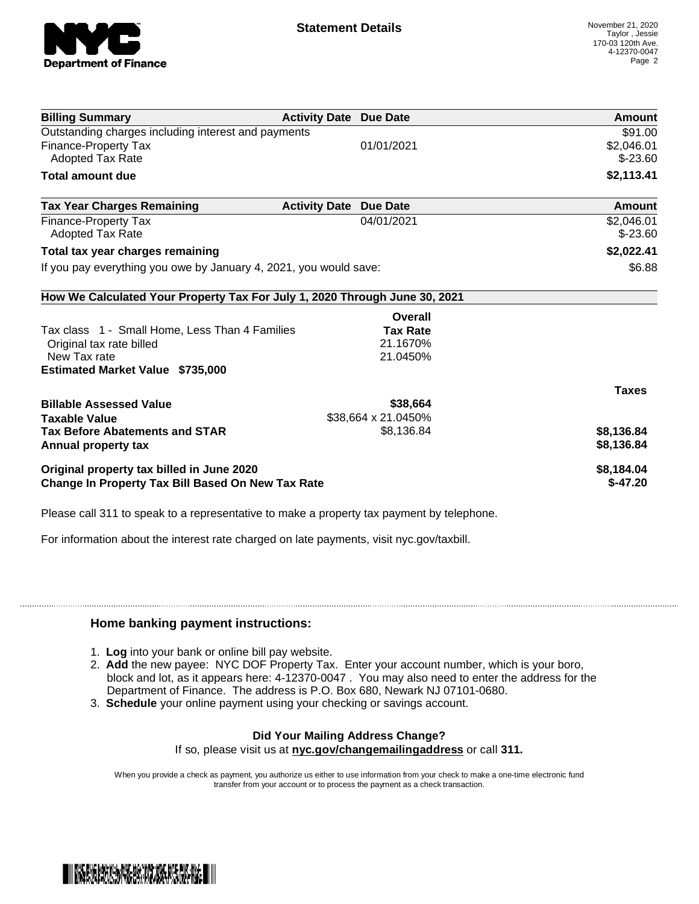

| <b>Billing Summary</b>                                                     | <b>Activity Date Due Date</b> |                     | Amount       |
|----------------------------------------------------------------------------|-------------------------------|---------------------|--------------|
| Outstanding charges including interest and payments                        |                               |                     | \$91.00      |
| <b>Finance-Property Tax</b>                                                |                               | 01/01/2021          | \$2,046.01   |
| <b>Adopted Tax Rate</b>                                                    |                               |                     | $$ -23.60$   |
| <b>Total amount due</b>                                                    |                               |                     | \$2,113.41   |
| <b>Tax Year Charges Remaining</b>                                          | <b>Activity Date</b>          | <b>Due Date</b>     | Amount       |
| <b>Finance-Property Tax</b>                                                |                               | 04/01/2021          | \$2,046.01   |
| <b>Adopted Tax Rate</b>                                                    |                               |                     | $$ -23.60$   |
| Total tax year charges remaining                                           |                               |                     | \$2,022.41   |
| If you pay everything you owe by January 4, 2021, you would save:          |                               |                     | \$6.88       |
| How We Calculated Your Property Tax For July 1, 2020 Through June 30, 2021 |                               |                     |              |
|                                                                            |                               | Overall             |              |
| Tax class 1 - Small Home, Less Than 4 Families                             |                               | <b>Tax Rate</b>     |              |
| Original tax rate billed                                                   |                               | 21.1670%            |              |
| New Tax rate                                                               |                               | 21.0450%            |              |
| <b>Estimated Market Value \$735,000</b>                                    |                               |                     |              |
|                                                                            |                               |                     | <b>Taxes</b> |
| <b>Billable Assessed Value</b>                                             |                               | \$38,664            |              |
| <b>Taxable Value</b>                                                       |                               | \$38,664 x 21.0450% |              |
| <b>Tax Before Abatements and STAR</b>                                      |                               | \$8,136.84          | \$8,136.84   |
| Annual property tax                                                        |                               |                     | \$8,136.84   |
| Original property tax billed in June 2020                                  |                               |                     | \$8,184.04   |
| <b>Change In Property Tax Bill Based On New Tax Rate</b>                   |                               |                     | $$-47.20$    |

Please call 311 to speak to a representative to make a property tax payment by telephone.

For information about the interest rate charged on late payments, visit nyc.gov/taxbill.

## **Home banking payment instructions:**

- 1. **Log** into your bank or online bill pay website.
- 2. **Add** the new payee: NYC DOF Property Tax. Enter your account number, which is your boro, block and lot, as it appears here: 4-12370-0047 . You may also need to enter the address for the Department of Finance. The address is P.O. Box 680, Newark NJ 07101-0680.
- 3. **Schedule** your online payment using your checking or savings account.

## **Did Your Mailing Address Change?**

If so, please visit us at **nyc.gov/changemailingaddress** or call **311.**

When you provide a check as payment, you authorize us either to use information from your check to make a one-time electronic fund transfer from your account or to process the payment as a check transaction.